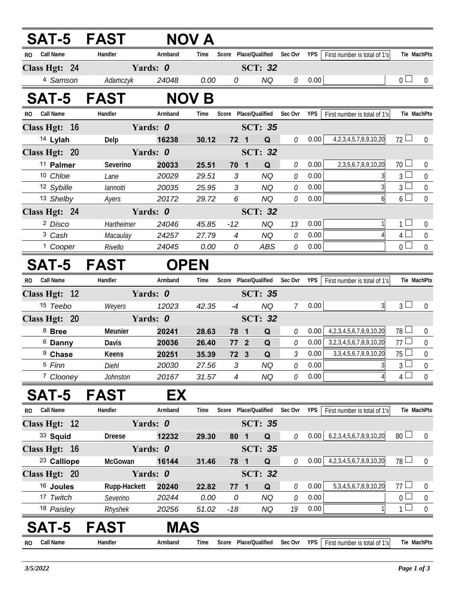| <b>SAT-5</b>                       | <b>FAST</b> |                | <b>NOV A</b>   |                |                 |          |            |                                |                 |                |
|------------------------------------|-------------|----------------|----------------|----------------|-----------------|----------|------------|--------------------------------|-----------------|----------------|
| <b>Call Name</b><br><b>RO</b>      | Handler     | Armband        | Time           | Score          | Place/Qualified | Sec Ovr  | <b>YPS</b> | First number is total of 1's   |                 | Tie MachPts    |
| Class Hgt: 24                      | Yards: 0    |                | <b>SCT: 32</b> |                |                 |          |            |                                |                 |                |
| 4 Samson                           | Adamczyk    | 24048          | 0.00           | 0              | NQ              | 0        | 0.00       |                                | 0 <sub>0</sub>  | $\Omega$       |
| <b>SAT-5</b>                       | <b>FAST</b> |                | <b>NOV B</b>   |                |                 |          |            |                                |                 |                |
| <b>Call Name</b><br>R <sub>O</sub> | Handler     | Armband        | Time           | Score          | Place/Qualified | Sec Ovr  | <b>YPS</b> | First number is total of 1's   |                 | Tie MachPts    |
| Class Hgt: 16                      |             | Yards: 0       | <b>SCT: 35</b> |                |                 |          |            |                                |                 |                |
| <sup>14</sup> Lylah                | Delp        | 16238          | 30.12          | 72 1           | Q               | $\theta$ | 0.00       | 4, 2, 3, 4, 5, 7, 8, 9, 10, 20 | $72 \Box$       | $\Omega$       |
| Class Hgt: 20                      |             | Yards: 0       |                | <b>SCT: 32</b> |                 |          |            |                                |                 |                |
| 11 Palmer                          | Severino    | 20033          | 25.51          | 70 1           | Q               | 0        | 0.00       | 2, 3, 5, 6, 7, 8, 9, 10, 20    | 70 <sup>1</sup> | $\mathbf 0$    |
| 10 Chloe                           | Lane        | 20029          | 29.51          | 3              | <b>NQ</b>       | 0        | 0.00       | 3                              | 3 <sub>1</sub>  | $\theta$       |
| 12 Sybille                         | lannotti    | 20035          | 25.95          | 3              | NQ              | $\theta$ | 0.00       |                                | 3 <sup>L</sup>  | $\overline{0}$ |
| 13 Shelby                          | Avers       | 20172          | 29.72          | 6              | <b>NQ</b>       | $\theta$ | 0.00       | 6                              | $6\Box$         | $\Omega$       |
| Class Hgt: 24                      | Yards: 0    | <b>SCT: 32</b> |                |                |                 |          |            |                                |                 |                |
| <sup>2</sup> Disco                 | Hartheimer  | 24046          | 45.85          | $-12$          | NQ              | 13       | 0.00       |                                | $1 \Box$        | $\Omega$       |
| <sup>3</sup> Cash                  | Macaulay    | 24257          | 27.79          | 4              | NQ              | 0        | 0.00       |                                | 4 <sup>1</sup>  | $\Omega$       |
| <sup>1</sup> Cooper                | Rivello     | 24045          | 0.00           | 0              | ABS             | 0        | 0.00       |                                | 0 <sub>1</sub>  | $\Omega$       |

## SAT-5 FAST OPEN

| R <sub>0</sub> | Call Name          | Handler         | Armband | Time           | Score           | Place/Qualified                     | Sec Ovr  | <b>YPS</b> | First number is total of 1's      |                | Tie MachPts |
|----------------|--------------------|-----------------|---------|----------------|-----------------|-------------------------------------|----------|------------|-----------------------------------|----------------|-------------|
|                | Class Hgt: 12      | Yards: <i>0</i> |         | <b>SCT: 35</b> |                 |                                     |          |            |                                   |                |             |
|                | 15 Teebo           | Weyers          | 12023   | 42.35          | -4              | ΝQ                                  |          | 0.00       |                                   | $3 -$          |             |
|                | Class Hgt: 20      | Yards: <i>0</i> |         |                |                 | <b>SCT: 32</b>                      |          |            |                                   |                |             |
|                | $8$ Bree           | <b>Meunier</b>  | 20241   | 28.63          | 78              | $\Omega$<br>$\blacksquare$          | $\theta$ | 0.00       | 4, 2, 3, 4, 5, 6, 7, 8, 9, 10, 20 | 78             |             |
|                | <sup>6</sup> Danny | Davis           | 20036   | 26.40          | 77              | $\Omega$<br>$\overline{\mathbf{2}}$ | $\theta$ | 0.00       | 3, 2, 3, 4, 5, 6, 7, 8, 9, 10, 20 | 77             |             |
|                | <sup>9</sup> Chase | <b>Keens</b>    | 20251   | 35.39          | 72 <sub>3</sub> | $\Omega$                            |          | 0.00       | 3, 3, 4, 5, 6, 7, 8, 9, 10, 20    | 75             | $\Omega$    |
|                | 5 Finn             | Diehl           | 20030   | 27.56          | 3               | ΝQ                                  | $\theta$ | 0.00       |                                   | 3 <sup>1</sup> | $\Omega$    |
|                | 7 Clooney          | Johnston        | 20167   | 31.57          | 4               | ΝQ                                  | $\theta$ | 0.00       |                                   | 4              | $\Omega$    |

## **SAT-5 FAST EX**

|     |                        |                     |                 |                |       |                | $\sim$ $\sim$ $\sim$ $\sim$ |         | $\cdots$   | $-1$ $-1$<br>$\mathbf{r}$ . The set of the set of the set of the set of the set of the set of the set of the set of the set of the set of the set of the set of the set of the set of the set of the set of the set of the set of the set of t |                 |             |
|-----|------------------------|---------------------|-----------------|----------------|-------|----------------|-----------------------------|---------|------------|------------------------------------------------------------------------------------------------------------------------------------------------------------------------------------------------------------------------------------------------|-----------------|-------------|
|     | <b>SAT-5</b>           | <b>FAST</b>         | MAS             |                |       |                |                             |         |            |                                                                                                                                                                                                                                                |                 |             |
|     | 18 Paisley             | Rhyshek             | 20256           | 51.02          | $-18$ |                | <b>NQ</b>                   | 19      | 0.00       |                                                                                                                                                                                                                                                |                 | $\Omega$    |
|     | 17 Twitch              | Severino            | 20244           | 0.00           | 0     |                | NQ                          | 0       | 0.00       |                                                                                                                                                                                                                                                | 0 <sub>l</sub>  | $\Omega$    |
|     | <sup>16</sup> Joules   | <b>Rupp-Hackett</b> | 20240           | 22.82          | 77    | $\blacksquare$ | Q                           | 0       | 0.00       | 5, 3, 4, 5, 6, 7, 8, 9, 10, 20                                                                                                                                                                                                                 | 77 $\Box$       | $\Omega$    |
|     | Class Hgt: 20          | Yards: 0            |                 | <b>SCT: 32</b> |       |                |                             |         |            |                                                                                                                                                                                                                                                |                 |             |
|     | <sup>23</sup> Calliope | McGowan             | 16144           | 31.46          |       | 78 1           | Q                           | 0       | 0.00       | 4, 2, 3, 4, 5, 6, 7, 8, 9, 10, 20                                                                                                                                                                                                              | $78 \Box$       | $\Omega$    |
|     | Class Hgt: 16          |                     | Yards: 0        |                |       |                | <b>SCT: 35</b>              |         |            |                                                                                                                                                                                                                                                |                 |             |
|     | 33 Squid               | <b>Dreese</b>       | 12232           | 29.30          | 80    | $\blacksquare$ | Q                           | 0       | 0.00       | 6, 2, 3, 4, 5, 6, 7, 8, 9, 10, 20                                                                                                                                                                                                              | 80 <sup>1</sup> | $\Omega$    |
|     | Class Hgt: 12          |                     | Yards: <i>0</i> |                |       |                | <b>SCT: 35</b>              |         |            |                                                                                                                                                                                                                                                |                 |             |
| RO. | Call Name              | Handler             | Armband         | Time           | Score |                | Place/Qualified             | Sec Ovr | <b>YPS</b> | First number is total of 1's                                                                                                                                                                                                                   |                 | Tie MachPts |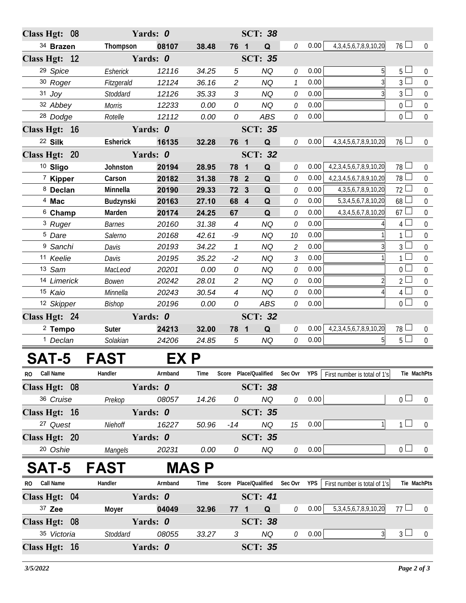| Class Hgt: 08 |                     |                 | Yards: 0 | <b>SCT: 38</b> |                |                                   |                             |      |                                   |                |                  |
|---------------|---------------------|-----------------|----------|----------------|----------------|-----------------------------------|-----------------------------|------|-----------------------------------|----------------|------------------|
|               | 34 Brazen           | Thompson        | 08107    | 38.48          | 76 1           | Q                                 | 0                           | 0.00 | 4, 3, 4, 5, 6, 7, 8, 9, 10, 20    | $76 \Box$      | $\overline{0}$   |
| Class Hgt: 12 |                     |                 | Yards: 0 |                |                | <b>SCT: 35</b>                    |                             |      |                                   |                |                  |
|               | <sup>29</sup> Spice | Esherick        | 12116    | 34.25          | $\sqrt{5}$     | <b>NQ</b>                         | 0                           | 0.00 | 5 <sup>1</sup>                    | 5 <sub>1</sub> | $\boldsymbol{0}$ |
|               | 30 Roger            | Fitzgerald      | 12124    | 36.16          | $\overline{2}$ | <b>NQ</b>                         | $\mathcal{I}$               | 0.00 | $\overline{3}$                    | 3 <sup>1</sup> | $\boldsymbol{0}$ |
|               | $31$ Joy            | Stoddard        | 12126    | 35.33          | 3              | <b>NQ</b>                         | $\mathcal O$                | 0.00 | $\overline{3}$                    | 3 <sup>1</sup> | $\mathbf 0$      |
|               | 32 Abbey            | <b>Morris</b>   | 12233    | 0.00           | 0              | <b>NQ</b>                         | $\mathcal O$                | 0.00 |                                   | $0\Box$        | $\boldsymbol{0}$ |
|               | <sup>28</sup> Dodge | Rotelle         | 12112    | 0.00           | 0              | ABS                               | $\mathcal O$                | 0.00 |                                   | $\overline{0}$ | $\boldsymbol{0}$ |
| Class Hgt: 16 |                     |                 | Yards: 0 |                |                | <b>SCT: 35</b>                    |                             |      |                                   |                |                  |
|               | 22 Silk             | <b>Esherick</b> | 16135    | 32.28          | 76 1           | Q                                 | 0                           | 0.00 | 4, 3, 4, 5, 6, 7, 8, 9, 10, 20    | $76\Box$       | $\boldsymbol{0}$ |
| Class Hgt: 20 |                     |                 | Yards: 0 |                |                | <b>SCT: 32</b>                    |                             |      |                                   |                |                  |
|               | <sup>10</sup> Sligo | Johnston        | 20194    | 28.95          | 78 1           | Q                                 | 0                           | 0.00 | 4, 2, 3, 4, 5, 6, 7, 8, 9, 10, 20 | $78 \perp$     | $\boldsymbol{0}$ |
|               | 7 Kipper            | Carson          | 20182    | 31.38          | 78 2           | Q                                 | $\mathcal O$                | 0.00 | 4, 2, 3, 4, 5, 6, 7, 8, 9, 10, 20 | 78             | $\boldsymbol{0}$ |
|               | 8 Declan            | Minnella        | 20190    | 29.33          | 72 3           | $\mathbf Q$                       | 0                           | 0.00 | 4, 3, 5, 6, 7, 8, 9, 10, 20       | 72             | $\boldsymbol{0}$ |
|               | <sup>4</sup> Mac    | Budzynski       | 20163    | 27.10          | 68 4           | Q                                 | $\mathcal O$                | 0.00 | 5, 3, 4, 5, 6, 7, 8, 10, 20       | 68             | $\boldsymbol{0}$ |
|               | <sup>6</sup> Champ  | Marden          | 20174    | 24.25          | 67             | Q                                 | $\mathcal O$                | 0.00 | 4, 3, 4, 5, 6, 7, 8, 10, 20       | 67             | $\boldsymbol{0}$ |
|               | <sup>3</sup> Ruger  | <b>Barnes</b>   | 20160    | 31.38          | 4              | <b>NQ</b>                         | $\mathcal O$                | 0.00 |                                   | $\overline{4}$ | $\boldsymbol{0}$ |
|               | <sup>5</sup> Dare   | Salerno         | 20168    | 42.61          | -9             | <b>NQ</b>                         | 10                          | 0.00 |                                   | $\mathbf{1}$   | $\mathbf 0$      |
|               | <sup>9</sup> Sanchi | Davis           | 20193    | 34.22          | $\mathbf{1}$   | NQ                                | $\mathcal{L}_{\mathcal{L}}$ | 0.00 | 3                                 | $\mathfrak{Z}$ | $\boldsymbol{0}$ |
|               | 11 Keelie           | Davis           | 20195    | 35.22          | $-2$           | <b>NQ</b>                         | $\mathfrak{Z}$              | 0.00 |                                   | 1 <sup>1</sup> | $\mathbf 0$      |
|               | 13 Sam              | MacLeod         | 20201    | 0.00           | 0              | <b>NQ</b>                         | 0                           | 0.00 |                                   | 0 <sup>L</sup> | $\boldsymbol{0}$ |
|               | 14 Limerick         | Bowen           | 20242    | 28.01          | $\overline{c}$ | <b>NQ</b>                         | 0                           | 0.00 | $\overline{2}$                    | 2 <sup>1</sup> | $\mathbf 0$      |
|               | 15 Kaio             | Minnella        | 20243    | 30.54          | $\overline{4}$ | <b>NQ</b>                         | 0                           | 0.00 |                                   | 4 <sup>1</sup> | $\boldsymbol{0}$ |
|               | 12 Skipper          | Bishop          | 20196    | 0.00           | 0              | ABS                               | $\mathcal O$                | 0.00 |                                   | $\overline{0}$ | $\overline{0}$   |
| Class Hgt: 24 |                     |                 | Yards: 0 |                |                | <b>SCT: 32</b>                    |                             |      |                                   |                |                  |
|               | <sup>2</sup> Tempo  | Suter           | 24213    | 32.00          | 78 1           | Q                                 | 0                           | 0.00 | 4, 2, 3, 4, 5, 6, 7, 8, 9, 10, 20 | 78 L           | $\mathbf 0$      |
|               | <sup>1</sup> Declan | Solakian        | 24206    | 24.85          | $\sqrt{5}$     | NQ                                | 0                           | 0.00 | 5 <sup>1</sup>                    | 5 <sup>1</sup> | $\mathbf 0$      |
|               |                     | SAT-5 FAST      | EX P     |                |                |                                   |                             |      |                                   |                |                  |
| RO.           | <b>Call Name</b>    | Handler         | Armband  | Time           |                | Score Place/Qualified Sec Ovr YPS |                             |      | First number is total of 1's      |                | Tie MachPts      |
| Class Hgt: 08 |                     |                 | Yards: 0 |                |                | <b>SCT: 38</b>                    |                             |      |                                   |                |                  |
|               | 36 Cruise           | Prekop          | 08057    | 14.26          | 0              | NQ                                | $\theta$                    | 0.00 |                                   | 0 <sub>0</sub> | $\boldsymbol{0}$ |
| Class Hgt: 16 |                     |                 | Yards: 0 |                |                | <b>SCT: 35</b>                    |                             |      |                                   |                |                  |
|               | 27 Quest            | Niehoff         | 16227    | 50.96          | $-14$          | <b>NQ</b>                         | 15                          | 0.00 | $\mathbf{1}$                      | $1 \vdash$     | $\mathbf 0$      |

**Class Hgt:** 20 **Yards:** *0* **SCT:** *35* 20 *Oshie Mangels 20231 0.00 0 NQ 0* 0.00 0 0 **SAT-5 FAST MAS P**

## RO Call Name **Thandler Handler** Armband Time Score Place/Qualified SecOvr YPS | First number is total of 1's | Tie MachPts **Class Hgt:** 04 **Yards:** *0* **SCT:** *41* 37 **Zee Moyer 04049 32.96 77 1 Q** *0* 0.00 5,3,4,5,6,7,8,9,10,20 77 0 **Class Hgt:** 08 **Yards:** *0* **SCT:** *38* 35 *Victoria Stoddard 08055 33.27 3 NQ 0* 0.00 3 3 0 **Class Hgt:** 16 **Yards:** *0* **SCT:** *35*